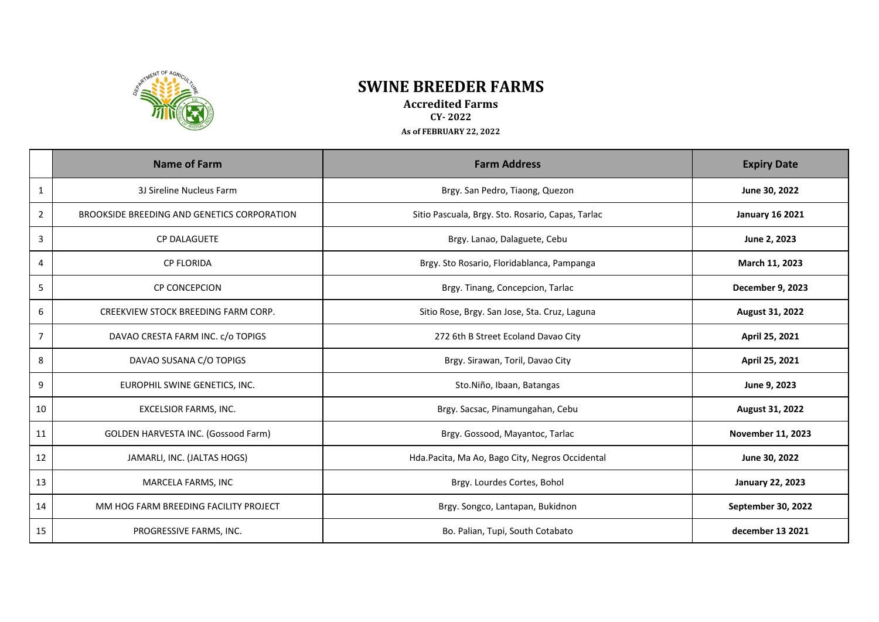

## **SWINE BREEDER FARMS**

**Accredited Farms CY- 2022 As of FEBRUARY 22, 2022**

|                | <b>Name of Farm</b>                         | <b>Farm Address</b>                               | <b>Expiry Date</b>       |
|----------------|---------------------------------------------|---------------------------------------------------|--------------------------|
| $\mathbf{1}$   | 3J Sireline Nucleus Farm                    | Brgy. San Pedro, Tiaong, Quezon                   | June 30, 2022            |
| $\overline{2}$ | BROOKSIDE BREEDING AND GENETICS CORPORATION | Sitio Pascuala, Brgy. Sto. Rosario, Capas, Tarlac | <b>January 16 2021</b>   |
| 3              | <b>CP DALAGUETE</b>                         | Brgy. Lanao, Dalaguete, Cebu                      | June 2, 2023             |
| 4              | <b>CP FLORIDA</b>                           | Brgy. Sto Rosario, Floridablanca, Pampanga        | March 11, 2023           |
| 5              | <b>CP CONCEPCION</b>                        | Brgy. Tinang, Concepcion, Tarlac                  | December 9, 2023         |
| 6              | CREEKVIEW STOCK BREEDING FARM CORP.         | Sitio Rose, Brgy. San Jose, Sta. Cruz, Laguna     | August 31, 2022          |
| $\overline{7}$ | DAVAO CRESTA FARM INC. c/o TOPIGS           | 272 6th B Street Ecoland Davao City               | April 25, 2021           |
| 8              | DAVAO SUSANA C/O TOPIGS                     | Brgy. Sirawan, Toril, Davao City                  | April 25, 2021           |
| 9              | EUROPHIL SWINE GENETICS, INC.               | Sto.Niño, Ibaan, Batangas                         | June 9, 2023             |
| 10             | EXCELSIOR FARMS, INC.                       | Brgy. Sacsac, Pinamungahan, Cebu                  | August 31, 2022          |
| 11             | GOLDEN HARVESTA INC. (Gossood Farm)         | Brgy. Gossood, Mayantoc, Tarlac                   | <b>November 11, 2023</b> |
| 12             | JAMARLI, INC. (JALTAS HOGS)                 | Hda.Pacita, Ma Ao, Bago City, Negros Occidental   | June 30, 2022            |
| 13             | MARCELA FARMS, INC                          | Brgy. Lourdes Cortes, Bohol                       | <b>January 22, 2023</b>  |
| 14             | MM HOG FARM BREEDING FACILITY PROJECT       | Brgy. Songco, Lantapan, Bukidnon                  | September 30, 2022       |
| 15             | PROGRESSIVE FARMS, INC.                     | Bo. Palian, Tupi, South Cotabato                  | december 13 2021         |